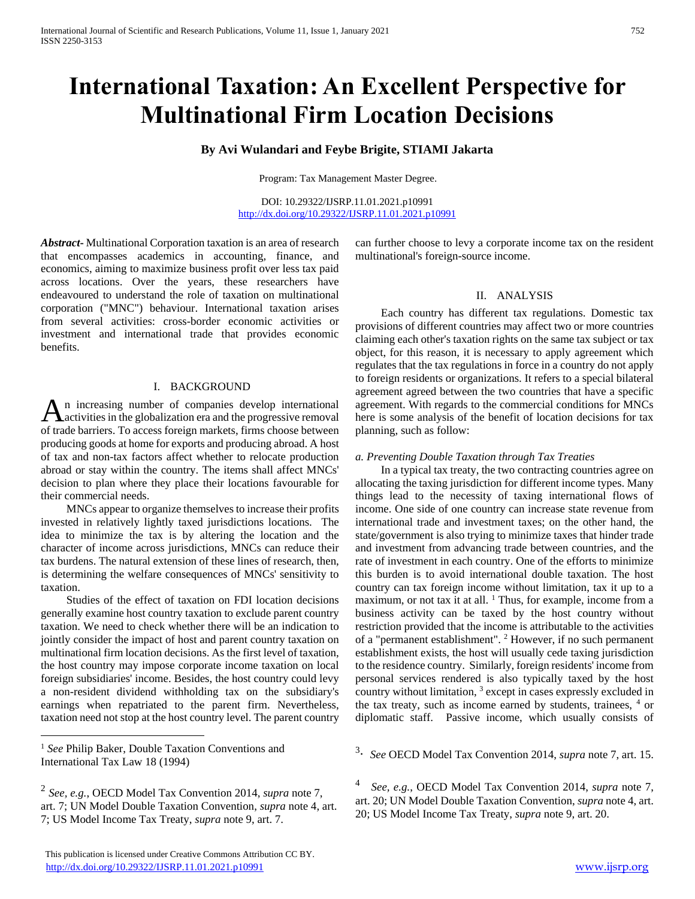# **International Taxation: An Excellent Perspective for Multinational Firm Location Decisions**

## **By Avi Wulandari and Feybe Brigite, STIAMI Jakarta**

Program: Tax Management Master Degree.

DOI: 10.29322/IJSRP.11.01.2021.p10991 <http://dx.doi.org/10.29322/IJSRP.11.01.2021.p10991>

*Abstract***-** Multinational Corporation taxation is an area of research that encompasses academics in accounting, finance, and economics, aiming to maximize business profit over less tax paid across locations. Over the years, these researchers have endeavoured to understand the role of taxation on multinational corporation ("MNC") behaviour. International taxation arises from several activities: cross-border economic activities or investment and international trade that provides economic benefits.

## I. BACKGROUND

n increasing number of companies develop international An increasing number of companies develop international<br>distribution era and the progressive removal of trade barriers. To access foreign markets, firms choose between producing goods at home for exports and producing abroad. A host of tax and non-tax factors affect whether to relocate production abroad or stay within the country. The items shall affect MNCs' decision to plan where they place their locations favourable for their commercial needs.

 MNCs appear to organize themselves to increase their profits invested in relatively lightly taxed jurisdictions locations. The idea to minimize the tax is by altering the location and the character of income across jurisdictions, MNCs can reduce their tax burdens. The natural extension of these lines of research, then, is determining the welfare consequences of MNCs' sensitivity to taxation.

 Studies of the effect of taxation on FDI location decisions generally examine host country taxation to exclude parent country taxation. We need to check whether there will be an indication to jointly consider the impact of host and parent country taxation on multinational firm location decisions. As the first level of taxation, the host country may impose corporate income taxation on local foreign subsidiaries' income. Besides, the host country could levy a non-resident dividend withholding tax on the subsidiary's earnings when repatriated to the parent firm. Nevertheless, taxation need not stop at the host country level. The parent country

<sup>1</sup> See Philip Baker, Double Taxation Conventions and International Tax Law 18 (1994)

 $\overline{a}$ 

can further choose to levy a corporate income tax on the resident multinational's foreign-source income.

#### II. ANALYSIS

 Each country has different tax regulations. Domestic tax provisions of different countries may affect two or more countries claiming each other's taxation rights on the same tax subject or tax object, for this reason, it is necessary to apply agreement which regulates that the tax regulations in force in a country do not apply to foreign residents or organizations. It refers to a special bilateral agreement agreed between the two countries that have a specific agreement. With regards to the commercial conditions for MNCs here is some analysis of the benefit of location decisions for tax planning, such as follow:

#### *a. Preventing Double Taxation through Tax Treaties*

 In a typical tax treaty, the two contracting countries agree on allocating the taxing jurisdiction for different income types. Many things lead to the necessity of taxing international flows of income. One side of one country can increase state revenue from international trade and investment taxes; on the other hand, the state/government is also trying to minimize taxes that hinder trade and investment from advancing trade between countries, and the rate of investment in each country. One of the efforts to minimize this burden is to avoid international double taxation. The host country can tax foreign income without limitation, tax it up to a maximum, or not tax it at all. <sup>1</sup> Thus, for example, income from a business activity can be taxed by the host country without restriction provided that the income is attributable to the activities of a "permanent establishment". <sup>2</sup> However, if no such permanent establishment exists, the host will usually cede taxing jurisdiction to the residence country. Similarly, foreign residents' income from personal services rendered is also typically taxed by the host country without limitation, <sup>3</sup> except in cases expressly excluded in the tax treaty, such as income earned by students, trainees,  $4$  or diplomatic staff. Passive income, which usually consists of

<sup>3</sup>. *See* OECD Model Tax Convention 2014, *supra* note 7, art. 15.

4 *See, e.g.*, OECD Model Tax Convention 2014, *supra* note 7, art. 20; UN Model Double Taxation Convention, *supra* note 4, art. 20; US Model Income Tax Treaty, *supra* note 9, art. 20.

<sup>2</sup> *See, e.g.*, OECD Model Tax Convention 2014, *supra* note 7, art. 7; UN Model Double Taxation Convention, *supra* note 4, art. 7; US Model Income Tax Treaty, *supra* note 9, art. 7.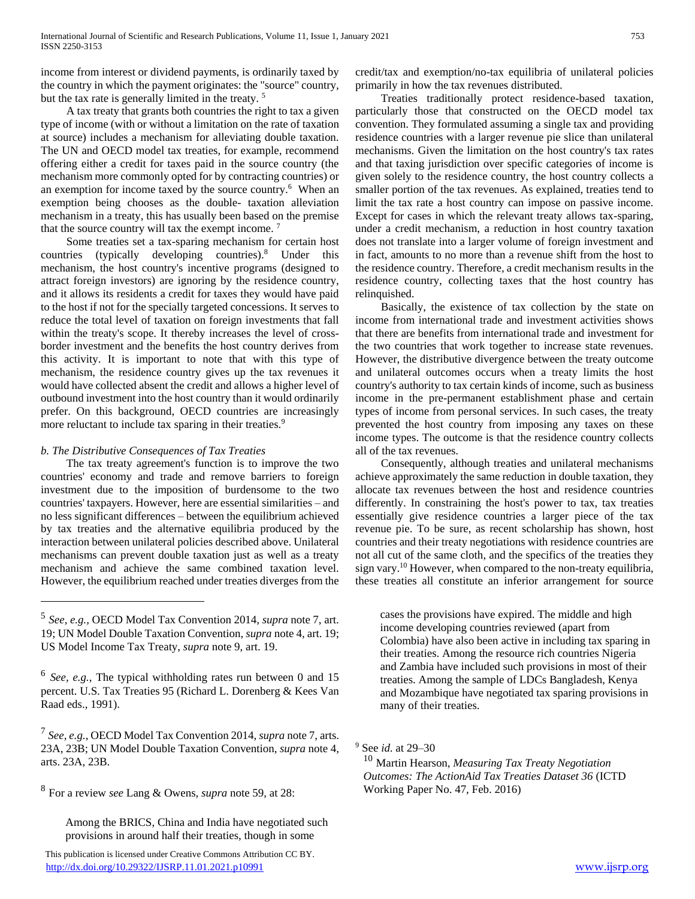income from interest or dividend payments, is ordinarily taxed by the country in which the payment originates: the "source" country, but the tax rate is generally limited in the treaty.<sup>5</sup>

 A tax treaty that grants both countries the right to tax a given type of income (with or without a limitation on the rate of taxation at source) includes a mechanism for alleviating double taxation. The UN and OECD model tax treaties, for example, recommend offering either a credit for taxes paid in the source country (the mechanism more commonly opted for by contracting countries) or an exemption for income taxed by the source country.<sup>6</sup> When an exemption being chooses as the double- taxation alleviation mechanism in a treaty, this has usually been based on the premise that the source country will tax the exempt income. <sup>7</sup>

 Some treaties set a tax-sparing mechanism for certain host countries (typically developing countries).<sup>8</sup> Under this mechanism, the host country's incentive programs (designed to attract foreign investors) are ignoring by the residence country, and it allows its residents a credit for taxes they would have paid to the host if not for the specially targeted concessions. It serves to reduce the total level of taxation on foreign investments that fall within the treaty's scope. It thereby increases the level of crossborder investment and the benefits the host country derives from this activity. It is important to note that with this type of mechanism, the residence country gives up the tax revenues it would have collected absent the credit and allows a higher level of outbound investment into the host country than it would ordinarily prefer. On this background, OECD countries are increasingly more reluctant to include tax sparing in their treaties.<sup>9</sup>

### *b. The Distributive Consequences of Tax Treaties*

 $\overline{a}$ 

 The tax treaty agreement's function is to improve the two countries' economy and trade and remove barriers to foreign investment due to the imposition of burdensome to the two countries' taxpayers. However, here are essential similarities – and no less significant differences – between the equilibrium achieved by tax treaties and the alternative equilibria produced by the interaction between unilateral policies described above. Unilateral mechanisms can prevent double taxation just as well as a treaty mechanism and achieve the same combined taxation level. However, the equilibrium reached under treaties diverges from the

7 *See, e.g.*, OECD Model Tax Convention 2014, *supra* note 7, arts. 23A, 23B; UN Model Double Taxation Convention, *supra* note 4, arts. 23A, 23B.

8 For a review *see* Lang & Owens, *supra* note 59, at 28:

Among the BRICS, China and India have negotiated such provisions in around half their treaties, though in some

 This publication is licensed under Creative Commons Attribution CC BY. <http://dx.doi.org/10.29322/IJSRP.11.01.2021.p10991> [www.ijsrp.org](http://ijsrp.org/)

credit/tax and exemption/no-tax equilibria of unilateral policies primarily in how the tax revenues distributed.

 Treaties traditionally protect residence-based taxation, particularly those that constructed on the OECD model tax convention. They formulated assuming a single tax and providing residence countries with a larger revenue pie slice than unilateral mechanisms. Given the limitation on the host country's tax rates and that taxing jurisdiction over specific categories of income is given solely to the residence country, the host country collects a smaller portion of the tax revenues. As explained, treaties tend to limit the tax rate a host country can impose on passive income. Except for cases in which the relevant treaty allows tax-sparing, under a credit mechanism, a reduction in host country taxation does not translate into a larger volume of foreign investment and in fact, amounts to no more than a revenue shift from the host to the residence country. Therefore, a credit mechanism results in the residence country, collecting taxes that the host country has relinquished.

 Basically, the existence of tax collection by the state on income from international trade and investment activities shows that there are benefits from international trade and investment for the two countries that work together to increase state revenues. However, the distributive divergence between the treaty outcome and unilateral outcomes occurs when a treaty limits the host country's authority to tax certain kinds of income, such as business income in the pre-permanent establishment phase and certain types of income from personal services. In such cases, the treaty prevented the host country from imposing any taxes on these income types. The outcome is that the residence country collects all of the tax revenues.

 Consequently, although treaties and unilateral mechanisms achieve approximately the same reduction in double taxation, they allocate tax revenues between the host and residence countries differently. In constraining the host's power to tax, tax treaties essentially give residence countries a larger piece of the tax revenue pie. To be sure, as recent scholarship has shown, host countries and their treaty negotiations with residence countries are not all cut of the same cloth, and the specifics of the treaties they sign vary.<sup>10</sup> However, when compared to the non-treaty equilibria, these treaties all constitute an inferior arrangement for source

cases the provisions have expired. The middle and high income developing countries reviewed (apart from Colombia) have also been active in including tax sparing in their treaties. Among the resource rich countries Nigeria and Zambia have included such provisions in most of their treaties. Among the sample of LDCs Bangladesh, Kenya and Mozambique have negotiated tax sparing provisions in many of their treaties.

<sup>9</sup> See *id*. at 29–30

<sup>10</sup> Martin Hearson, *Measuring Tax Treaty Negotiation Outcomes: The ActionAid Tax Treaties Dataset 36* (ICTD Working Paper No. 47, Feb. 2016)

<sup>5</sup> *See, e.g.*, OECD Model Tax Convention 2014, *supra* note 7, art. 19; UN Model Double Taxation Convention, *supra* note 4, art. 19; US Model Income Tax Treaty, *supra* note 9, art. 19.

<sup>6</sup> *See, e.g.*, The typical withholding rates run between 0 and 15 percent. U.S. Tax Treaties 95 (Richard L. Dorenberg & Kees Van Raad eds., 1991).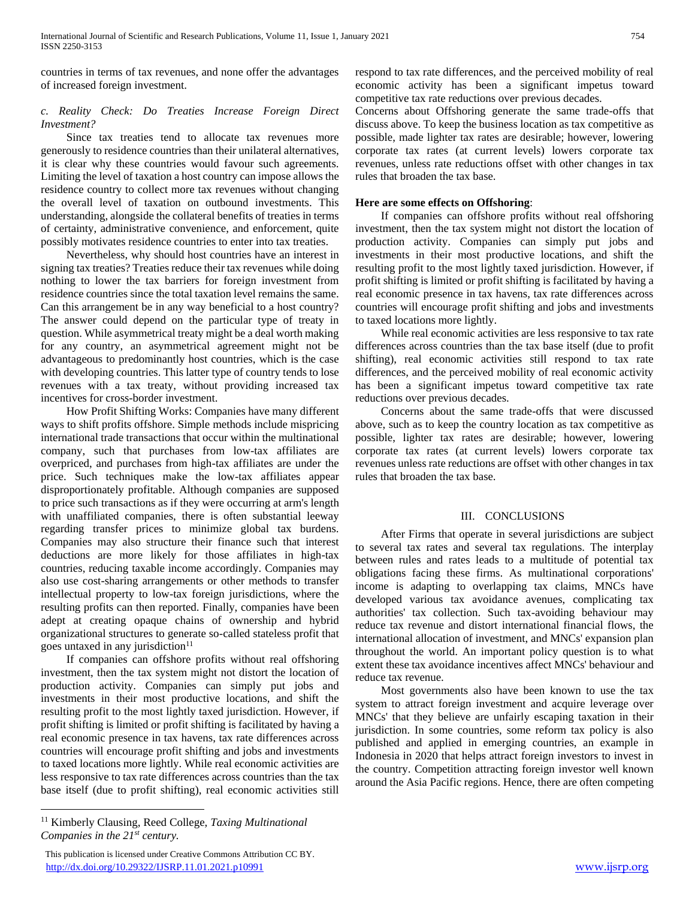countries in terms of tax revenues, and none offer the advantages of increased foreign investment.

## *c. Reality Check: Do Treaties Increase Foreign Direct Investment?*

 Since tax treaties tend to allocate tax revenues more generously to residence countries than their unilateral alternatives, it is clear why these countries would favour such agreements. Limiting the level of taxation a host country can impose allows the residence country to collect more tax revenues without changing the overall level of taxation on outbound investments. This understanding, alongside the collateral benefits of treaties in terms of certainty, administrative convenience, and enforcement, quite possibly motivates residence countries to enter into tax treaties.

 Nevertheless, why should host countries have an interest in signing tax treaties? Treaties reduce their tax revenues while doing nothing to lower the tax barriers for foreign investment from residence countries since the total taxation level remains the same. Can this arrangement be in any way beneficial to a host country? The answer could depend on the particular type of treaty in question. While asymmetrical treaty might be a deal worth making for any country, an asymmetrical agreement might not be advantageous to predominantly host countries, which is the case with developing countries. This latter type of country tends to lose revenues with a tax treaty, without providing increased tax incentives for cross-border investment.

 How Profit Shifting Works: Companies have many different ways to shift profits offshore. Simple methods include mispricing international trade transactions that occur within the multinational company, such that purchases from low-tax affiliates are overpriced, and purchases from high-tax affiliates are under the price. Such techniques make the low-tax affiliates appear disproportionately profitable. Although companies are supposed to price such transactions as if they were occurring at arm's length with unaffiliated companies, there is often substantial leeway regarding transfer prices to minimize global tax burdens. Companies may also structure their finance such that interest deductions are more likely for those affiliates in high-tax countries, reducing taxable income accordingly. Companies may also use cost-sharing arrangements or other methods to transfer intellectual property to low-tax foreign jurisdictions, where the resulting profits can then reported. Finally, companies have been adept at creating opaque chains of ownership and hybrid organizational structures to generate so-called stateless profit that goes untaxed in any jurisdiction $11$ 

 If companies can offshore profits without real offshoring investment, then the tax system might not distort the location of production activity. Companies can simply put jobs and investments in their most productive locations, and shift the resulting profit to the most lightly taxed jurisdiction. However, if profit shifting is limited or profit shifting is facilitated by having a real economic presence in tax havens, tax rate differences across countries will encourage profit shifting and jobs and investments to taxed locations more lightly. While real economic activities are less responsive to tax rate differences across countries than the tax base itself (due to profit shifting), real economic activities still

 $\overline{a}$ 

respond to tax rate differences, and the perceived mobility of real economic activity has been a significant impetus toward competitive tax rate reductions over previous decades.

Concerns about Offshoring generate the same trade-offs that discuss above. To keep the business location as tax competitive as possible, made lighter tax rates are desirable; however, lowering corporate tax rates (at current levels) lowers corporate tax revenues, unless rate reductions offset with other changes in tax rules that broaden the tax base.

### **Here are some effects on Offshoring**:

 If companies can offshore profits without real offshoring investment, then the tax system might not distort the location of production activity. Companies can simply put jobs and investments in their most productive locations, and shift the resulting profit to the most lightly taxed jurisdiction. However, if profit shifting is limited or profit shifting is facilitated by having a real economic presence in tax havens, tax rate differences across countries will encourage profit shifting and jobs and investments to taxed locations more lightly.

 While real economic activities are less responsive to tax rate differences across countries than the tax base itself (due to profit shifting), real economic activities still respond to tax rate differences, and the perceived mobility of real economic activity has been a significant impetus toward competitive tax rate reductions over previous decades.

 Concerns about the same trade-offs that were discussed above, such as to keep the country location as tax competitive as possible, lighter tax rates are desirable; however, lowering corporate tax rates (at current levels) lowers corporate tax revenues unless rate reductions are offset with other changes in tax rules that broaden the tax base.

### III. CONCLUSIONS

 After Firms that operate in several jurisdictions are subject to several tax rates and several tax regulations. The interplay between rules and rates leads to a multitude of potential tax obligations facing these firms. As multinational corporations' income is adapting to overlapping tax claims, MNCs have developed various tax avoidance avenues, complicating tax authorities' tax collection. Such tax-avoiding behaviour may reduce tax revenue and distort international financial flows, the international allocation of investment, and MNCs' expansion plan throughout the world. An important policy question is to what extent these tax avoidance incentives affect MNCs' behaviour and reduce tax revenue.

 Most governments also have been known to use the tax system to attract foreign investment and acquire leverage over MNCs' that they believe are unfairly escaping taxation in their jurisdiction. In some countries, some reform tax policy is also published and applied in emerging countries, an example in Indonesia in 2020 that helps attract foreign investors to invest in the country. Competition attracting foreign investor well known around the Asia Pacific regions. Hence, there are often competing

<sup>11</sup> Kimberly Clausing, Reed College, *Taxing Multinational Companies in the 21st century.*

This publication is licensed under Creative Commons Attribution CC BY. <http://dx.doi.org/10.29322/IJSRP.11.01.2021.p10991> [www.ijsrp.org](http://ijsrp.org/)